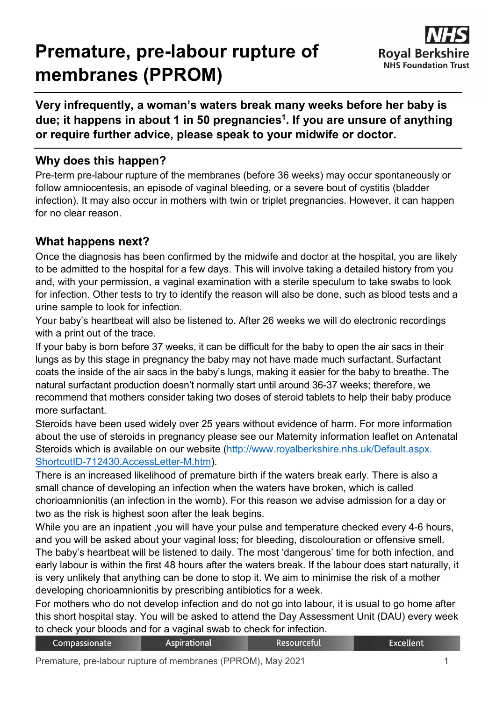# **Premature, pre-labour rupture of membranes (PPROM)**



**Very infrequently, a woman's waters break many weeks before her baby is due; it happens in about 1 in 50 pregnancies1. If you are unsure of anything or require further advice, please speak to your midwife or doctor.**

## **Why does this happen?**

Pre-term pre-labour rupture of the membranes (before 36 weeks) may occur spontaneously or follow amniocentesis, an episode of vaginal bleeding, or a severe bout of cystitis (bladder infection). It may also occur in mothers with twin or triplet pregnancies. However, it can happen for no clear reason.

## **What happens next?**

Once the diagnosis has been confirmed by the midwife and doctor at the hospital, you are likely to be admitted to the hospital for a few days. This will involve taking a detailed history from you and, with your permission, a vaginal examination with a sterile speculum to take swabs to look for infection. Other tests to try to identify the reason will also be done, such as blood tests and a urine sample to look for infection.

Your baby's heartbeat will also be listened to. After 26 weeks we will do electronic recordings with a print out of the trace.

If your baby is born before 37 weeks, it can be difficult for the baby to open the air sacs in their lungs as by this stage in pregnancy the baby may not have made much surfactant. Surfactant coats the inside of the air sacs in the baby's lungs, making it easier for the baby to breathe. The natural surfactant production doesn't normally start until around 36-37 weeks; therefore, we recommend that mothers consider taking two doses of steroid tablets to help their baby produce more surfactant.

Steroids have been used widely over 25 years without evidence of harm. For more information about the use of steroids in pregnancy please see our Maternity information leaflet on Antenatal Steroids which is available on our website [\(http://www.royalberkshire.nhs.uk/Default.aspx.](http://www.royalberkshire.nhs.uk/Default.aspx.%0bShortcutID-712430.AccessLetter-M.htm) [ShortcutID-712430.AccessLetter-M.htm\)](http://www.royalberkshire.nhs.uk/Default.aspx.%0bShortcutID-712430.AccessLetter-M.htm).

There is an increased likelihood of premature birth if the waters break early. There is also a small chance of developing an infection when the waters have broken, which is called chorioamnionitis (an infection in the womb). For this reason we advise admission for a day or two as the risk is highest soon after the leak begins.

While you are an inpatient ,you will have your pulse and temperature checked every 4-6 hours, and you will be asked about your vaginal loss; for bleeding, discolouration or offensive smell. The baby's heartbeat will be listened to daily. The most 'dangerous' time for both infection, and early labour is within the first 48 hours after the waters break. If the labour does start naturally, it is very unlikely that anything can be done to stop it. We aim to minimise the risk of a mother developing chorioamnionitis by prescribing antibiotics for a week.

For mothers who do not develop infection and do not go into labour, it is usual to go home after this short hospital stay. You will be asked to attend the Day Assessment Unit (DAU) every week to check your bloods and for a vaginal swab to check for infection.

| Compassionate | <b>Aspirational</b> | Resourceful | Excellent |
|---------------|---------------------|-------------|-----------|
|               |                     |             |           |